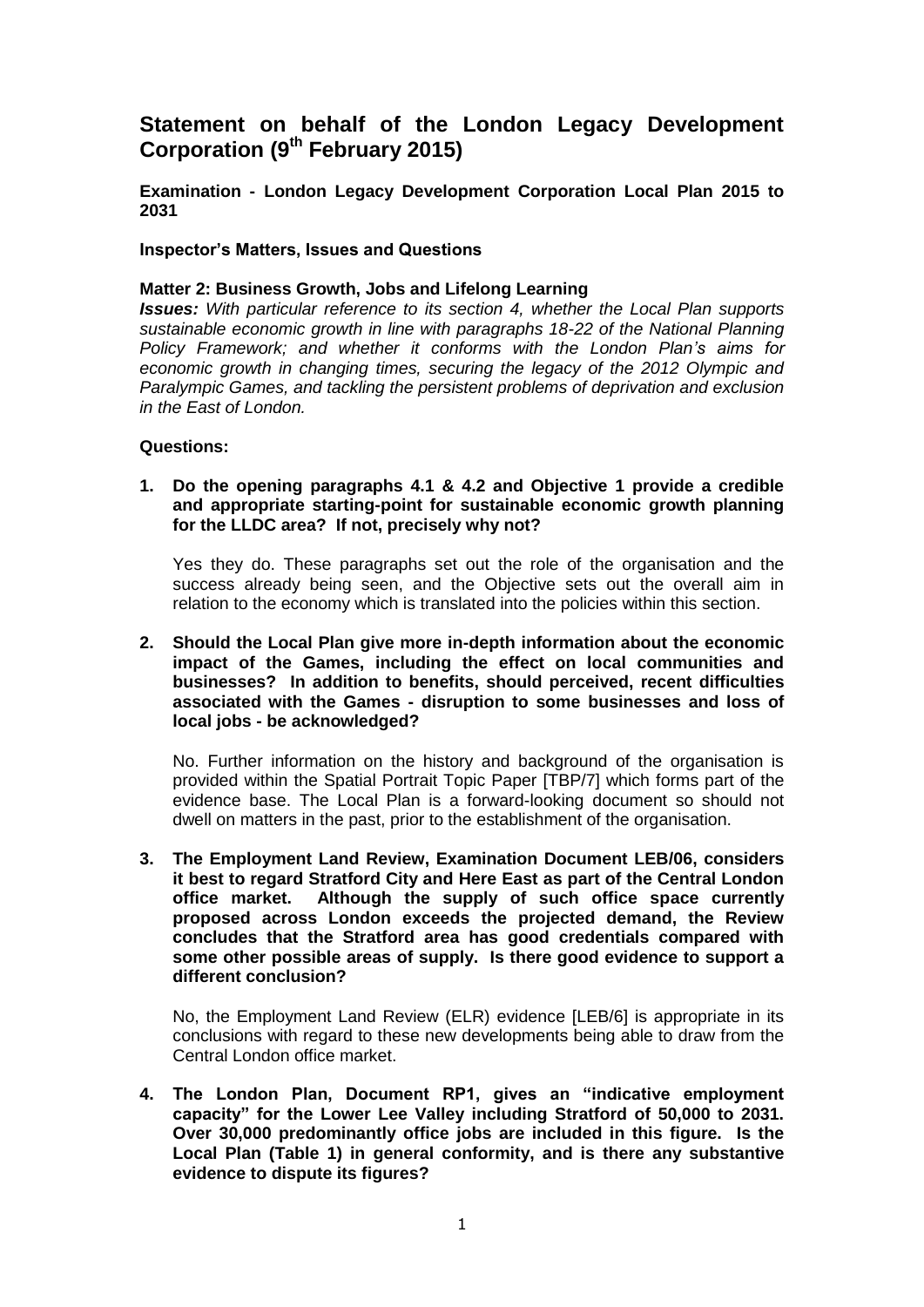# **Statement on behalf of the London Legacy Development Corporation (9th February 2015)**

**Examination - London Legacy Development Corporation Local Plan 2015 to 2031**

### **Inspector's Matters, Issues and Questions**

### **Matter 2: Business Growth, Jobs and Lifelong Learning**

*Issues: With particular reference to its section 4, whether the Local Plan supports sustainable economic growth in line with paragraphs 18-22 of the National Planning Policy Framework; and whether it conforms with the London Plan's aims for economic growth in changing times, securing the legacy of the 2012 Olympic and Paralympic Games, and tackling the persistent problems of deprivation and exclusion in the East of London.*

#### **Questions:**

### **1. Do the opening paragraphs 4.1 & 4.2 and Objective 1 provide a credible and appropriate starting-point for sustainable economic growth planning for the LLDC area? If not, precisely why not?**

Yes they do. These paragraphs set out the role of the organisation and the success already being seen, and the Objective sets out the overall aim in relation to the economy which is translated into the policies within this section.

#### **2. Should the Local Plan give more in-depth information about the economic impact of the Games, including the effect on local communities and businesses? In addition to benefits, should perceived, recent difficulties associated with the Games - disruption to some businesses and loss of local jobs - be acknowledged?**

No. Further information on the history and background of the organisation is provided within the Spatial Portrait Topic Paper [TBP/7] which forms part of the evidence base. The Local Plan is a forward-looking document so should not dwell on matters in the past, prior to the establishment of the organisation.

**3. The Employment Land Review, Examination Document LEB/06, considers it best to regard Stratford City and Here East as part of the Central London office market. Although the supply of such office space currently proposed across London exceeds the projected demand, the Review concludes that the Stratford area has good credentials compared with some other possible areas of supply. Is there good evidence to support a different conclusion?**

No, the Employment Land Review (ELR) evidence [LEB/6] is appropriate in its conclusions with regard to these new developments being able to draw from the Central London office market.

**4. The London Plan, Document RP1, gives an "indicative employment capacity" for the Lower Lee Valley including Stratford of 50,000 to 2031. Over 30,000 predominantly office jobs are included in this figure. Is the Local Plan (Table 1) in general conformity, and is there any substantive evidence to dispute its figures?**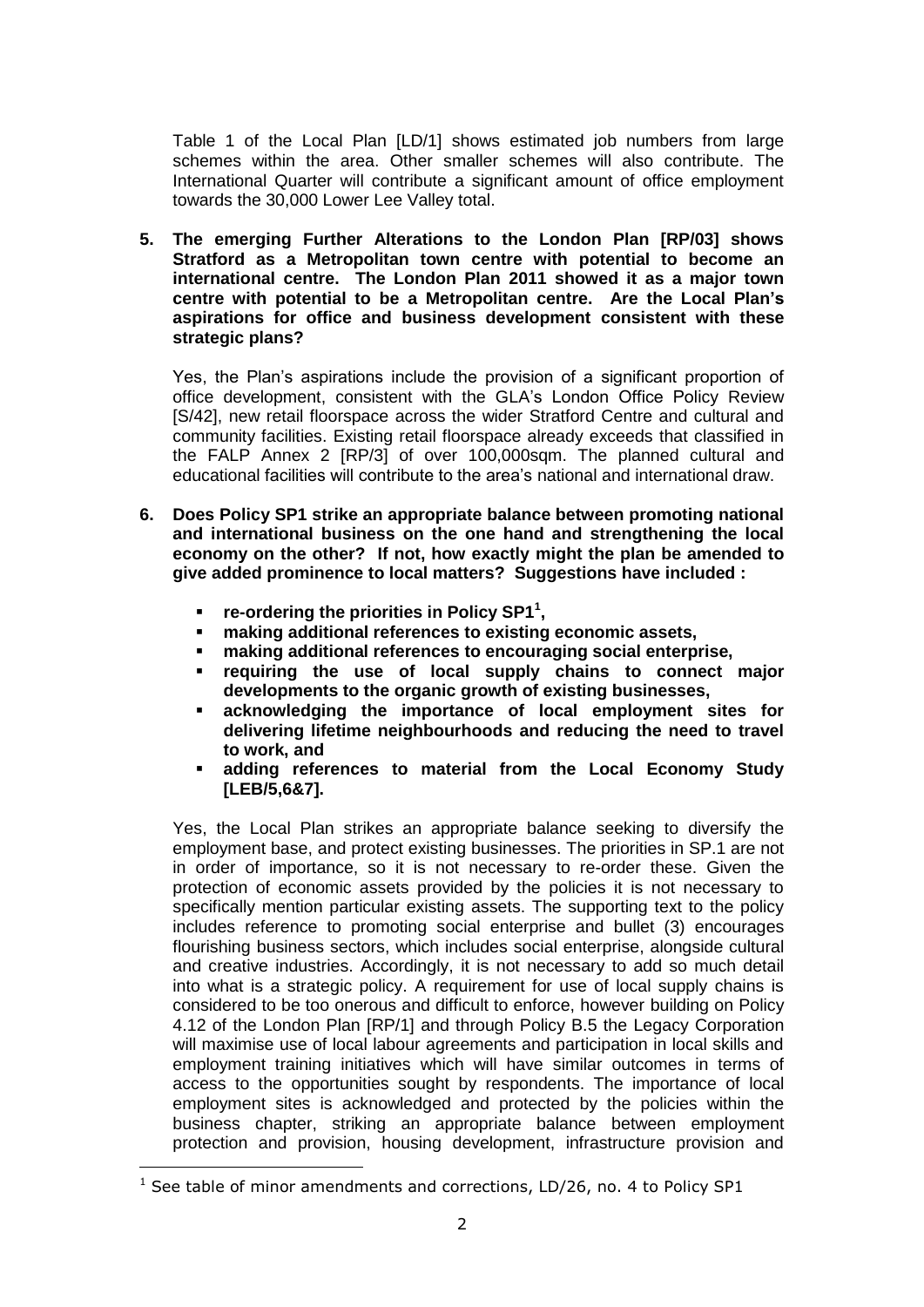Table 1 of the Local Plan [LD/1] shows estimated job numbers from large schemes within the area. Other smaller schemes will also contribute. The International Quarter will contribute a significant amount of office employment towards the 30,000 Lower Lee Valley total.

**5. The emerging Further Alterations to the London Plan [RP/03] shows Stratford as a Metropolitan town centre with potential to become an international centre. The London Plan 2011 showed it as a major town centre with potential to be a Metropolitan centre. Are the Local Plan's aspirations for office and business development consistent with these strategic plans?** 

Yes, the Plan's aspirations include the provision of a significant proportion of office development, consistent with the GLA's London Office Policy Review [S/42], new retail floorspace across the wider Stratford Centre and cultural and community facilities. Existing retail floorspace already exceeds that classified in the FALP Annex 2 [RP/3] of over 100,000sqm. The planned cultural and educational facilities will contribute to the area's national and international draw.

- **6. Does Policy SP1 strike an appropriate balance between promoting national and international business on the one hand and strengthening the local economy on the other? If not, how exactly might the plan be amended to give added prominence to local matters? Suggestions have included :**
	- **•** re-ordering the priorities in Policy SP1<sup>1</sup>,
	- **making additional references to existing economic assets,**
	- **making additional references to encouraging social enterprise,**
	- **requiring the use of local supply chains to connect major developments to the organic growth of existing businesses,**
	- **acknowledging the importance of local employment sites for delivering lifetime neighbourhoods and reducing the need to travel to work, and**
	- **adding references to material from the Local Economy Study [LEB/5,6&7].**

Yes, the Local Plan strikes an appropriate balance seeking to diversify the employment base, and protect existing businesses. The priorities in SP.1 are not in order of importance, so it is not necessary to re-order these. Given the protection of economic assets provided by the policies it is not necessary to specifically mention particular existing assets. The supporting text to the policy includes reference to promoting social enterprise and bullet (3) encourages flourishing business sectors, which includes social enterprise, alongside cultural and creative industries. Accordingly, it is not necessary to add so much detail into what is a strategic policy. A requirement for use of local supply chains is considered to be too onerous and difficult to enforce, however building on Policy 4.12 of the London Plan [RP/1] and through Policy B.5 the Legacy Corporation will maximise use of local labour agreements and participation in local skills and employment training initiatives which will have similar outcomes in terms of access to the opportunities sought by respondents. The importance of local employment sites is acknowledged and protected by the policies within the business chapter, striking an appropriate balance between employment protection and provision, housing development, infrastructure provision and

-

<sup>&</sup>lt;sup>1</sup> See table of minor amendments and corrections, LD/26, no. 4 to Policy SP1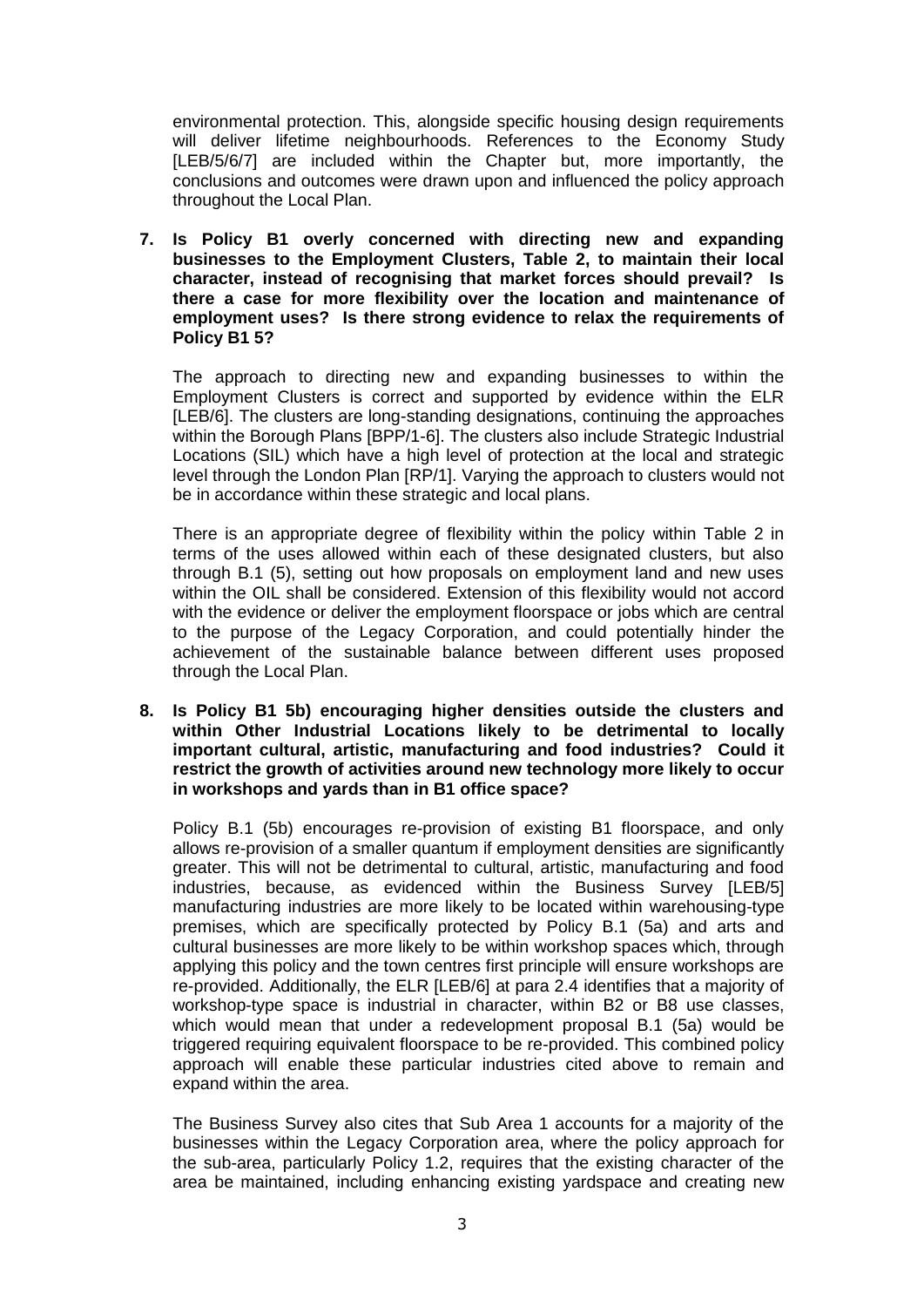environmental protection. This, alongside specific housing design requirements will deliver lifetime neighbourhoods. References to the Economy Study [LEB/5/6/7] are included within the Chapter but, more importantly, the conclusions and outcomes were drawn upon and influenced the policy approach throughout the Local Plan.

**7. Is Policy B1 overly concerned with directing new and expanding businesses to the Employment Clusters, Table 2, to maintain their local character, instead of recognising that market forces should prevail? Is there a case for more flexibility over the location and maintenance of employment uses? Is there strong evidence to relax the requirements of Policy B1 5?**

The approach to directing new and expanding businesses to within the Employment Clusters is correct and supported by evidence within the ELR [LEB/6]. The clusters are long-standing designations, continuing the approaches within the Borough Plans [BPP/1-6]. The clusters also include Strategic Industrial Locations (SIL) which have a high level of protection at the local and strategic level through the London Plan [RP/1]. Varying the approach to clusters would not be in accordance within these strategic and local plans.

There is an appropriate degree of flexibility within the policy within Table 2 in terms of the uses allowed within each of these designated clusters, but also through B.1 (5), setting out how proposals on employment land and new uses within the OIL shall be considered. Extension of this flexibility would not accord with the evidence or deliver the employment floorspace or jobs which are central to the purpose of the Legacy Corporation, and could potentially hinder the achievement of the sustainable balance between different uses proposed through the Local Plan.

**8. Is Policy B1 5b) encouraging higher densities outside the clusters and within Other Industrial Locations likely to be detrimental to locally important cultural, artistic, manufacturing and food industries? Could it restrict the growth of activities around new technology more likely to occur in workshops and yards than in B1 office space?** 

Policy B.1 (5b) encourages re-provision of existing B1 floorspace, and only allows re-provision of a smaller quantum if employment densities are significantly greater. This will not be detrimental to cultural, artistic, manufacturing and food industries, because, as evidenced within the Business Survey [LEB/5] manufacturing industries are more likely to be located within warehousing-type premises, which are specifically protected by Policy B.1 (5a) and arts and cultural businesses are more likely to be within workshop spaces which, through applying this policy and the town centres first principle will ensure workshops are re-provided. Additionally, the ELR [LEB/6] at para 2.4 identifies that a majority of workshop-type space is industrial in character, within B2 or B8 use classes, which would mean that under a redevelopment proposal B.1 (5a) would be triggered requiring equivalent floorspace to be re-provided. This combined policy approach will enable these particular industries cited above to remain and expand within the area.

The Business Survey also cites that Sub Area 1 accounts for a majority of the businesses within the Legacy Corporation area, where the policy approach for the sub-area, particularly Policy 1.2, requires that the existing character of the area be maintained, including enhancing existing yardspace and creating new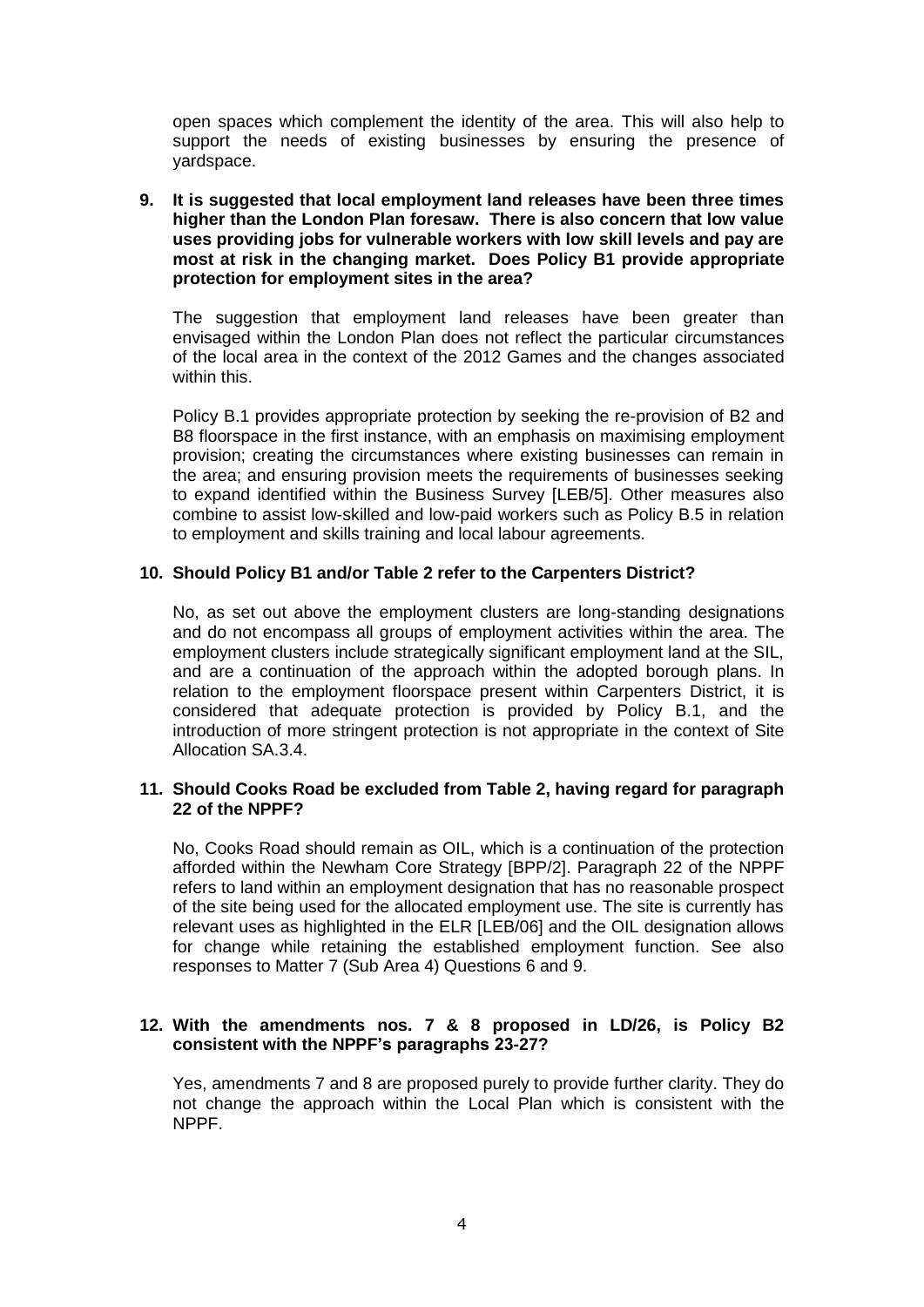open spaces which complement the identity of the area. This will also help to support the needs of existing businesses by ensuring the presence of yardspace.

#### **9. It is suggested that local employment land releases have been three times higher than the London Plan foresaw. There is also concern that low value uses providing jobs for vulnerable workers with low skill levels and pay are most at risk in the changing market. Does Policy B1 provide appropriate protection for employment sites in the area?**

The suggestion that employment land releases have been greater than envisaged within the London Plan does not reflect the particular circumstances of the local area in the context of the 2012 Games and the changes associated within this.

Policy B.1 provides appropriate protection by seeking the re-provision of B2 and B8 floorspace in the first instance, with an emphasis on maximising employment provision; creating the circumstances where existing businesses can remain in the area; and ensuring provision meets the requirements of businesses seeking to expand identified within the Business Survey [LEB/5]. Other measures also combine to assist low-skilled and low-paid workers such as Policy B.5 in relation to employment and skills training and local labour agreements.

## **10. Should Policy B1 and/or Table 2 refer to the Carpenters District?**

No, as set out above the employment clusters are long-standing designations and do not encompass all groups of employment activities within the area. The employment clusters include strategically significant employment land at the SIL, and are a continuation of the approach within the adopted borough plans. In relation to the employment floorspace present within Carpenters District, it is considered that adequate protection is provided by Policy B.1, and the introduction of more stringent protection is not appropriate in the context of Site Allocation SA.3.4.

### **11. Should Cooks Road be excluded from Table 2, having regard for paragraph 22 of the NPPF?**

No, Cooks Road should remain as OIL, which is a continuation of the protection afforded within the Newham Core Strategy [BPP/2]. Paragraph 22 of the NPPF refers to land within an employment designation that has no reasonable prospect of the site being used for the allocated employment use. The site is currently has relevant uses as highlighted in the ELR [LEB/06] and the OIL designation allows for change while retaining the established employment function. See also responses to Matter 7 (Sub Area 4) Questions 6 and 9.

## **12. With the amendments nos. 7 & 8 proposed in LD/26, is Policy B2 consistent with the NPPF's paragraphs 23-27?**

Yes, amendments 7 and 8 are proposed purely to provide further clarity. They do not change the approach within the Local Plan which is consistent with the NPPF.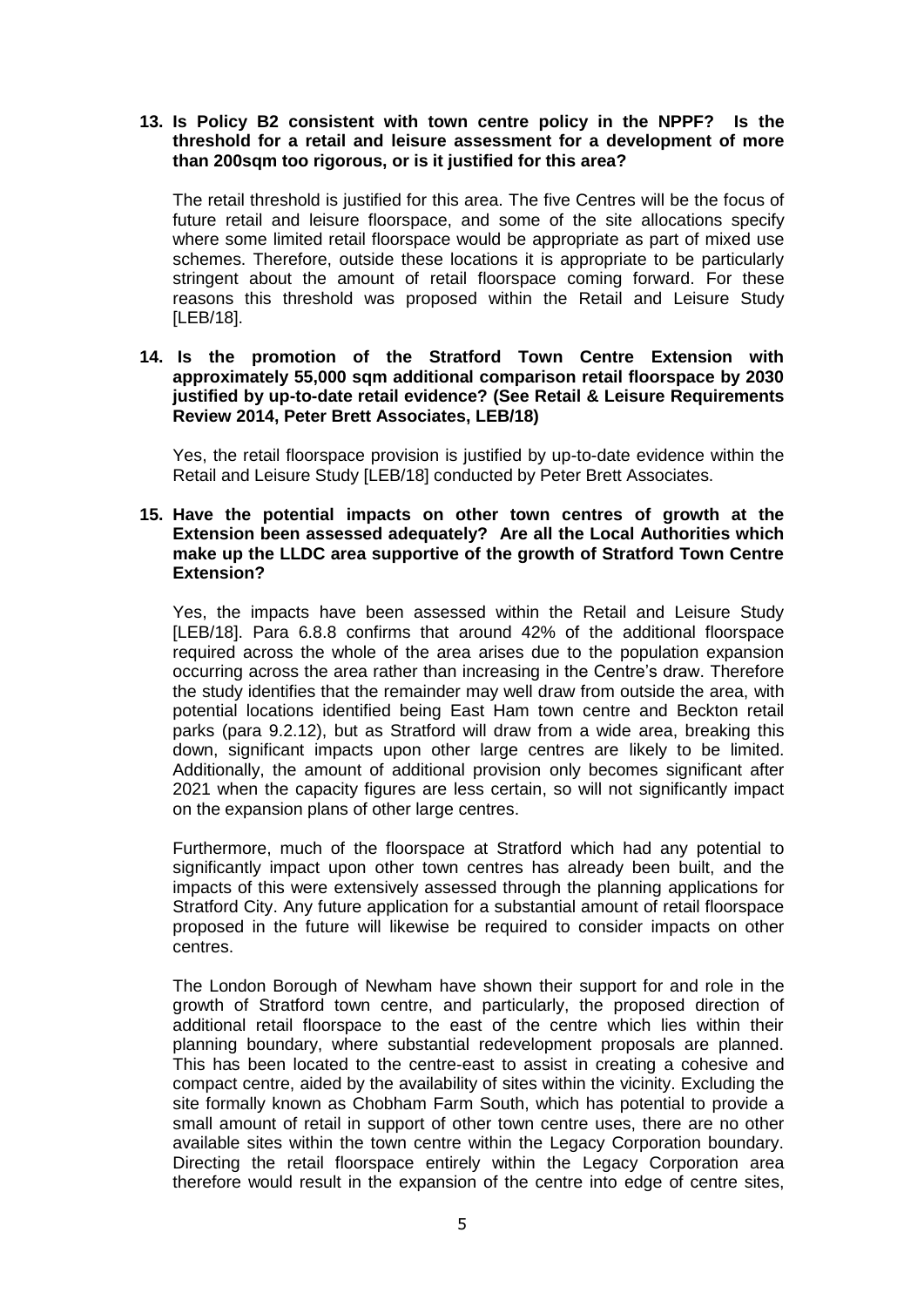## **13. Is Policy B2 consistent with town centre policy in the NPPF? Is the threshold for a retail and leisure assessment for a development of more than 200sqm too rigorous, or is it justified for this area?**

The retail threshold is justified for this area. The five Centres will be the focus of future retail and leisure floorspace, and some of the site allocations specify where some limited retail floorspace would be appropriate as part of mixed use schemes. Therefore, outside these locations it is appropriate to be particularly stringent about the amount of retail floorspace coming forward. For these reasons this threshold was proposed within the Retail and Leisure Study [LEB/18].

### **14. Is the promotion of the Stratford Town Centre Extension with approximately 55,000 sqm additional comparison retail floorspace by 2030 justified by up-to-date retail evidence? (See Retail & Leisure Requirements Review 2014, Peter Brett Associates, LEB/18)**

Yes, the retail floorspace provision is justified by up-to-date evidence within the Retail and Leisure Study [LEB/18] conducted by Peter Brett Associates.

#### **15. Have the potential impacts on other town centres of growth at the Extension been assessed adequately? Are all the Local Authorities which make up the LLDC area supportive of the growth of Stratford Town Centre Extension?**

Yes, the impacts have been assessed within the Retail and Leisure Study [LEB/18]. Para 6.8.8 confirms that around 42% of the additional floorspace required across the whole of the area arises due to the population expansion occurring across the area rather than increasing in the Centre's draw. Therefore the study identifies that the remainder may well draw from outside the area, with potential locations identified being East Ham town centre and Beckton retail parks (para 9.2.12), but as Stratford will draw from a wide area, breaking this down, significant impacts upon other large centres are likely to be limited. Additionally, the amount of additional provision only becomes significant after 2021 when the capacity figures are less certain, so will not significantly impact on the expansion plans of other large centres.

Furthermore, much of the floorspace at Stratford which had any potential to significantly impact upon other town centres has already been built, and the impacts of this were extensively assessed through the planning applications for Stratford City. Any future application for a substantial amount of retail floorspace proposed in the future will likewise be required to consider impacts on other centres.

The London Borough of Newham have shown their support for and role in the growth of Stratford town centre, and particularly, the proposed direction of additional retail floorspace to the east of the centre which lies within their planning boundary, where substantial redevelopment proposals are planned. This has been located to the centre-east to assist in creating a cohesive and compact centre, aided by the availability of sites within the vicinity. Excluding the site formally known as Chobham Farm South, which has potential to provide a small amount of retail in support of other town centre uses, there are no other available sites within the town centre within the Legacy Corporation boundary. Directing the retail floorspace entirely within the Legacy Corporation area therefore would result in the expansion of the centre into edge of centre sites,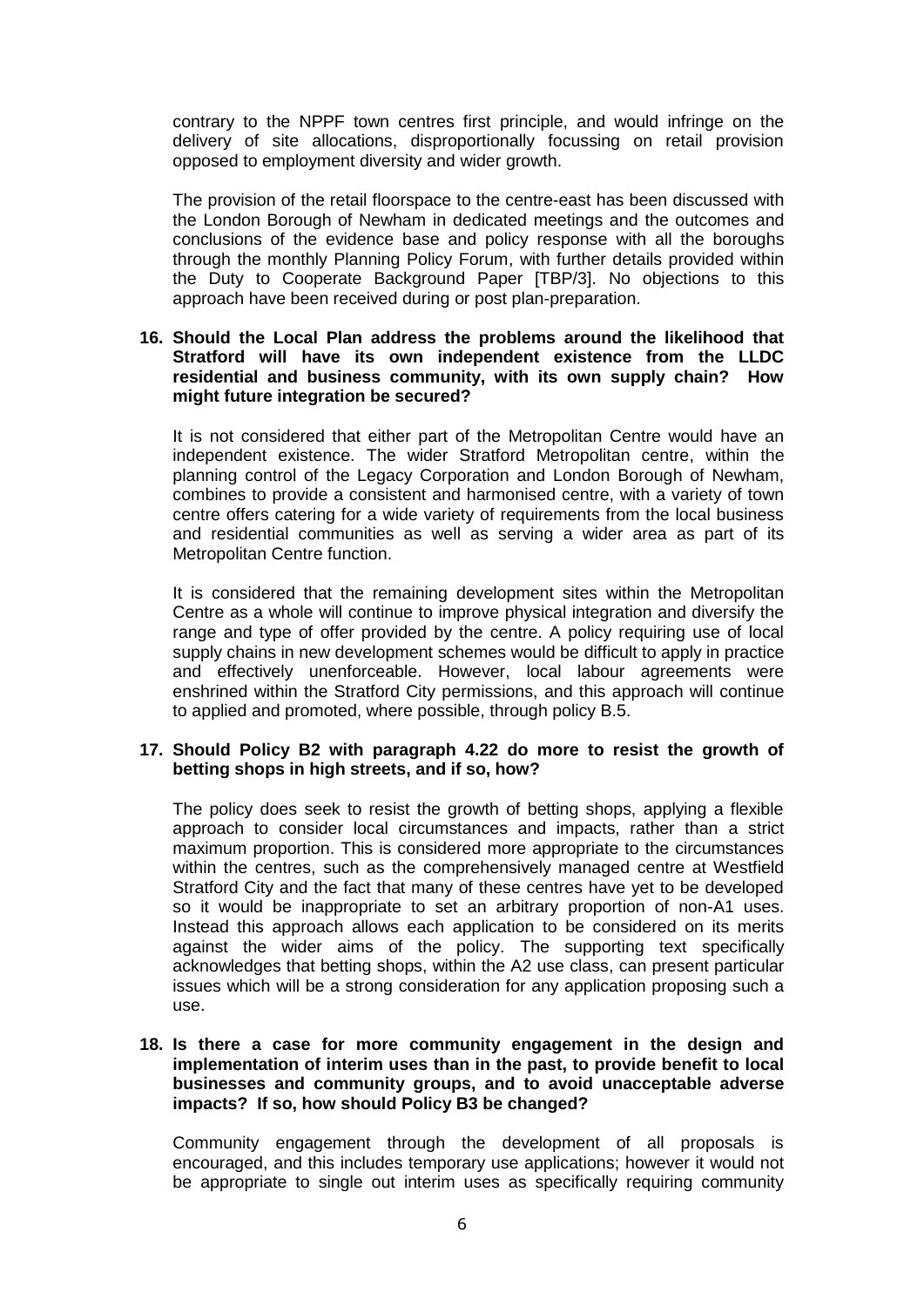contrary to the NPPF town centres first principle, and would infringe on the delivery of site allocations, disproportionally focussing on retail provision opposed to employment diversity and wider growth.

The provision of the retail floorspace to the centre-east has been discussed with the London Borough of Newham in dedicated meetings and the outcomes and conclusions of the evidence base and policy response with all the boroughs through the monthly Planning Policy Forum, with further details provided within the Duty to Cooperate Background Paper [TBP/3]. No objections to this approach have been received during or post plan-preparation.

#### **16. Should the Local Plan address the problems around the likelihood that Stratford will have its own independent existence from the LLDC residential and business community, with its own supply chain? How might future integration be secured?**

It is not considered that either part of the Metropolitan Centre would have an independent existence. The wider Stratford Metropolitan centre, within the planning control of the Legacy Corporation and London Borough of Newham, combines to provide a consistent and harmonised centre, with a variety of town centre offers catering for a wide variety of requirements from the local business and residential communities as well as serving a wider area as part of its Metropolitan Centre function.

It is considered that the remaining development sites within the Metropolitan Centre as a whole will continue to improve physical integration and diversify the range and type of offer provided by the centre. A policy requiring use of local supply chains in new development schemes would be difficult to apply in practice and effectively unenforceable. However, local labour agreements were enshrined within the Stratford City permissions, and this approach will continue to applied and promoted, where possible, through policy B.5.

### **17. Should Policy B2 with paragraph 4.22 do more to resist the growth of betting shops in high streets, and if so, how?**

The policy does seek to resist the growth of betting shops, applying a flexible approach to consider local circumstances and impacts, rather than a strict maximum proportion. This is considered more appropriate to the circumstances within the centres, such as the comprehensively managed centre at Westfield Stratford City and the fact that many of these centres have yet to be developed so it would be inappropriate to set an arbitrary proportion of non-A1 uses. Instead this approach allows each application to be considered on its merits against the wider aims of the policy. The supporting text specifically acknowledges that betting shops, within the A2 use class, can present particular issues which will be a strong consideration for any application proposing such a use.

#### **18. Is there a case for more community engagement in the design and implementation of interim uses than in the past, to provide benefit to local businesses and community groups, and to avoid unacceptable adverse impacts? If so, how should Policy B3 be changed?**

Community engagement through the development of all proposals is encouraged, and this includes temporary use applications; however it would not be appropriate to single out interim uses as specifically requiring community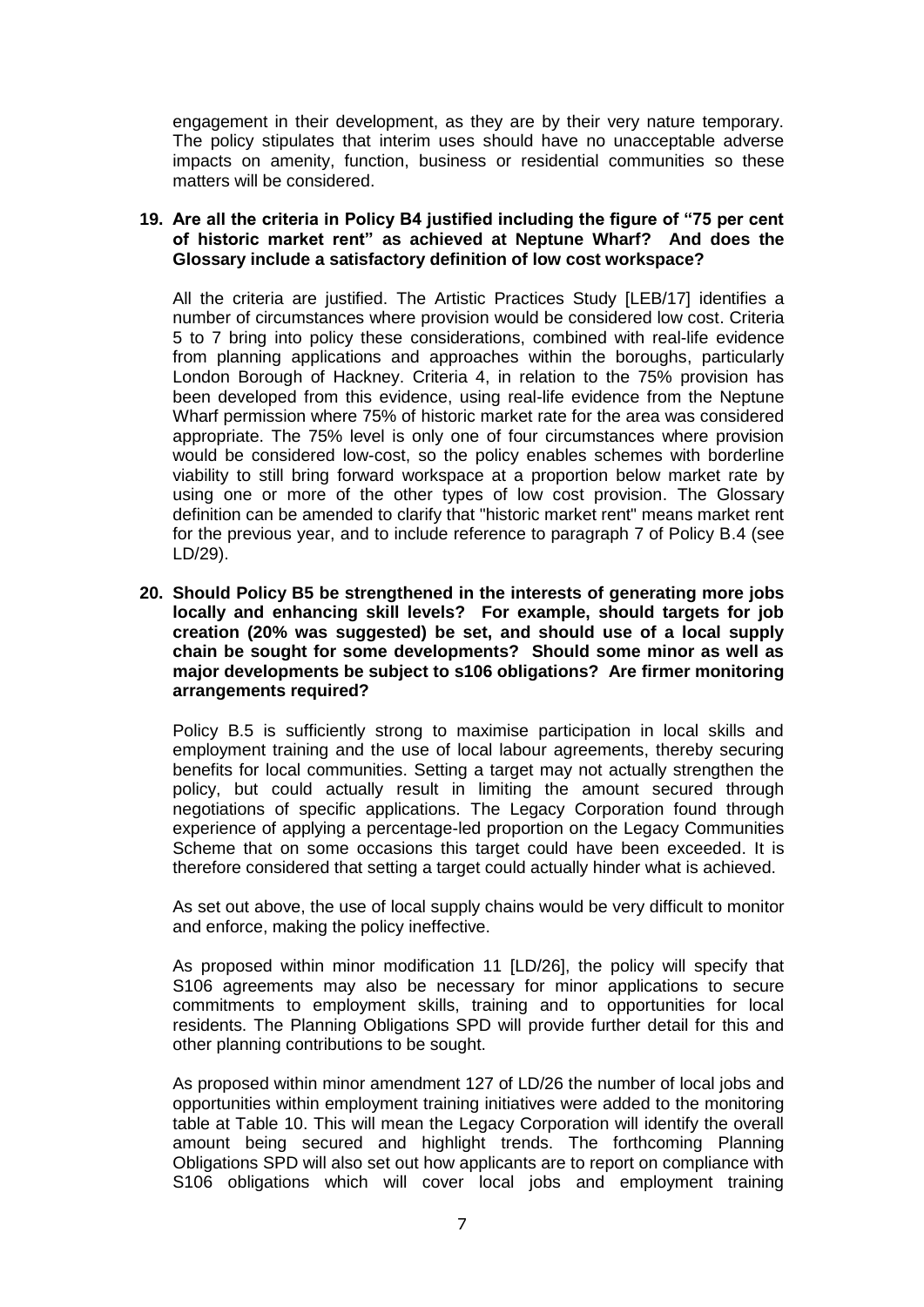engagement in their development, as they are by their very nature temporary. The policy stipulates that interim uses should have no unacceptable adverse impacts on amenity, function, business or residential communities so these matters will be considered.

## **19. Are all the criteria in Policy B4 justified including the figure of "75 per cent of historic market rent" as achieved at Neptune Wharf? And does the Glossary include a satisfactory definition of low cost workspace?**

All the criteria are justified. The Artistic Practices Study [LEB/17] identifies a number of circumstances where provision would be considered low cost. Criteria 5 to 7 bring into policy these considerations, combined with real-life evidence from planning applications and approaches within the boroughs, particularly London Borough of Hackney. Criteria 4, in relation to the 75% provision has been developed from this evidence, using real-life evidence from the Neptune Wharf permission where 75% of historic market rate for the area was considered appropriate. The 75% level is only one of four circumstances where provision would be considered low-cost, so the policy enables schemes with borderline viability to still bring forward workspace at a proportion below market rate by using one or more of the other types of low cost provision. The Glossary definition can be amended to clarify that "historic market rent" means market rent for the previous year, and to include reference to paragraph 7 of Policy B.4 (see LD/29).

**20. Should Policy B5 be strengthened in the interests of generating more jobs locally and enhancing skill levels? For example, should targets for job creation (20% was suggested) be set, and should use of a local supply chain be sought for some developments? Should some minor as well as major developments be subject to s106 obligations? Are firmer monitoring arrangements required?**

Policy B.5 is sufficiently strong to maximise participation in local skills and employment training and the use of local labour agreements, thereby securing benefits for local communities. Setting a target may not actually strengthen the policy, but could actually result in limiting the amount secured through negotiations of specific applications. The Legacy Corporation found through experience of applying a percentage-led proportion on the Legacy Communities Scheme that on some occasions this target could have been exceeded. It is therefore considered that setting a target could actually hinder what is achieved.

As set out above, the use of local supply chains would be very difficult to monitor and enforce, making the policy ineffective.

As proposed within minor modification 11 [LD/26], the policy will specify that S106 agreements may also be necessary for minor applications to secure commitments to employment skills, training and to opportunities for local residents. The Planning Obligations SPD will provide further detail for this and other planning contributions to be sought.

As proposed within minor amendment 127 of LD/26 the number of local jobs and opportunities within employment training initiatives were added to the monitoring table at Table 10. This will mean the Legacy Corporation will identify the overall amount being secured and highlight trends. The forthcoming Planning Obligations SPD will also set out how applicants are to report on compliance with S106 obligations which will cover local jobs and employment training